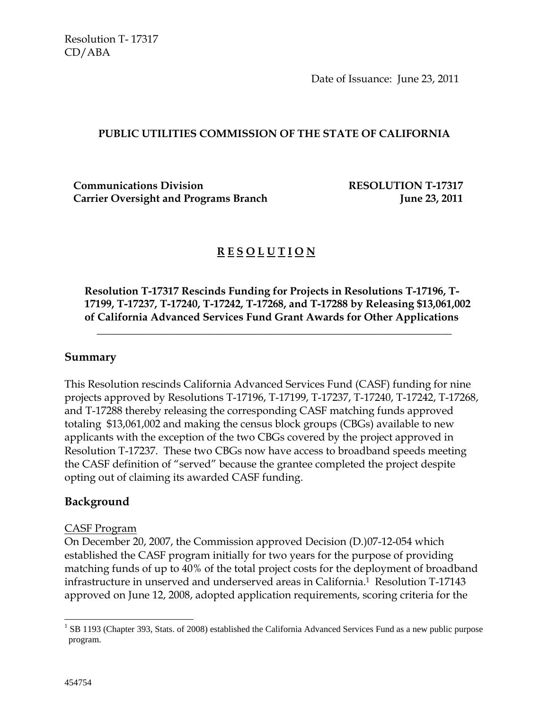Date of Issuance: June 23, 2011

#### **PUBLIC UTILITIES COMMISSION OF THE STATE OF CALIFORNIA**

**Communications Division RESOLUTION T-17317 Carrier Oversight and Programs Branch Carrier Communist Carrier Communist Carrier Communist Care and Tune 23, 2011** 

# **R E S O L U T I O N**

**Resolution T-17317 Rescinds Funding for Projects in Resolutions T-17196, T-17199, T-17237, T-17240, T-17242, T-17268, and T-17288 by Releasing \$13,061,002 of California Advanced Services Fund Grant Awards for Other Applications** 

 $\overline{\phantom{a}}$  , and the contract of the contract of the contract of the contract of the contract of the contract of the contract of the contract of the contract of the contract of the contract of the contract of the contrac

## **Summary**

This Resolution rescinds California Advanced Services Fund (CASF) funding for nine projects approved by Resolutions T-17196, T-17199, T-17237, T-17240, T-17242, T-17268, and T-17288 thereby releasing the corresponding CASF matching funds approved totaling \$13,061,002 and making the census block groups (CBGs) available to new applicants with the exception of the two CBGs covered by the project approved in Resolution T-17237. These two CBGs now have access to broadband speeds meeting the CASF definition of "served" because the grantee completed the project despite opting out of claiming its awarded CASF funding.

## **Background**

#### CASF Program

On December 20, 2007, the Commission approved Decision (D.)07-12-054 which established the CASF program initially for two years for the purpose of providing matching funds of up to 40% of the total project costs for the deployment of broadband infrastructure in unserved and underserved areas in California.1 Resolution T-17143 approved on June 12, 2008, adopted application requirements, scoring criteria for the

 $\overline{a}$  $1$  SB 1193 (Chapter 393, Stats. of 2008) established the California Advanced Services Fund as a new public purpose program.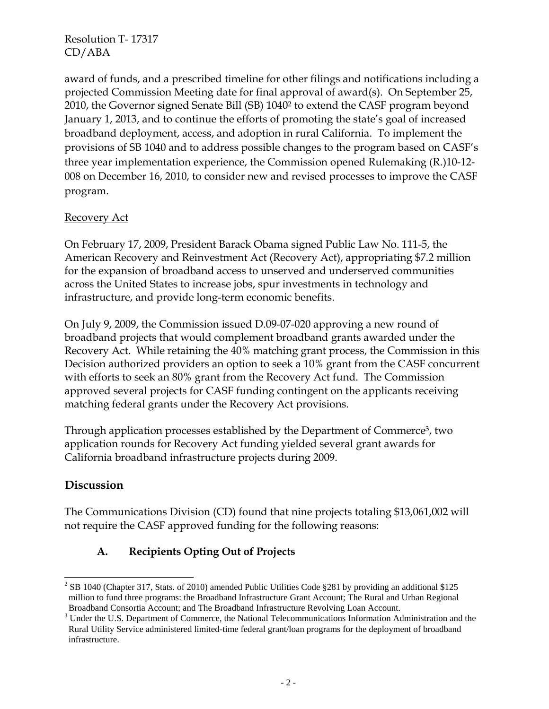award of funds, and a prescribed timeline for other filings and notifications including a projected Commission Meeting date for final approval of award(s). On September 25, 2010, the Governor signed Senate Bill (SB) 10402 to extend the CASF program beyond January 1, 2013, and to continue the efforts of promoting the state's goal of increased broadband deployment, access, and adoption in rural California. To implement the provisions of SB 1040 and to address possible changes to the program based on CASF's three year implementation experience, the Commission opened Rulemaking (R.)10-12- 008 on December 16, 2010, to consider new and revised processes to improve the CASF program.

## Recovery Act

On February 17, 2009, President Barack Obama signed Public Law No. 111-5, the American Recovery and Reinvestment Act (Recovery Act), appropriating \$7.2 million for the expansion of broadband access to unserved and underserved communities across the United States to increase jobs, spur investments in technology and infrastructure, and provide long-term economic benefits.

On July 9, 2009, the Commission issued D.09-07-020 approving a new round of broadband projects that would complement broadband grants awarded under the Recovery Act. While retaining the 40% matching grant process, the Commission in this Decision authorized providers an option to seek a 10% grant from the CASF concurrent with efforts to seek an 80% grant from the Recovery Act fund. The Commission approved several projects for CASF funding contingent on the applicants receiving matching federal grants under the Recovery Act provisions.

Through application processes established by the Department of Commerce3, two application rounds for Recovery Act funding yielded several grant awards for California broadband infrastructure projects during 2009.

## **Discussion**

 $\overline{a}$ 

The Communications Division (CD) found that nine projects totaling \$13,061,002 will not require the CASF approved funding for the following reasons:

## **A. Recipients Opting Out of Projects**

<sup>&</sup>lt;sup>2</sup> SB 1040 (Chapter 317, Stats. of 2010) amended Public Utilities Code §281 by providing an additional \$125 million to fund three programs: the Broadband Infrastructure Grant Account; The Rural and Urban Regional Broadband Consortia Account; and The Broadband Infrastructure Revolving Loan Account. 3

 $3$  Under the U.S. Department of Commerce, the National Telecommunications Information Administration and the Rural Utility Service administered limited-time federal grant/loan programs for the deployment of broadband infrastructure.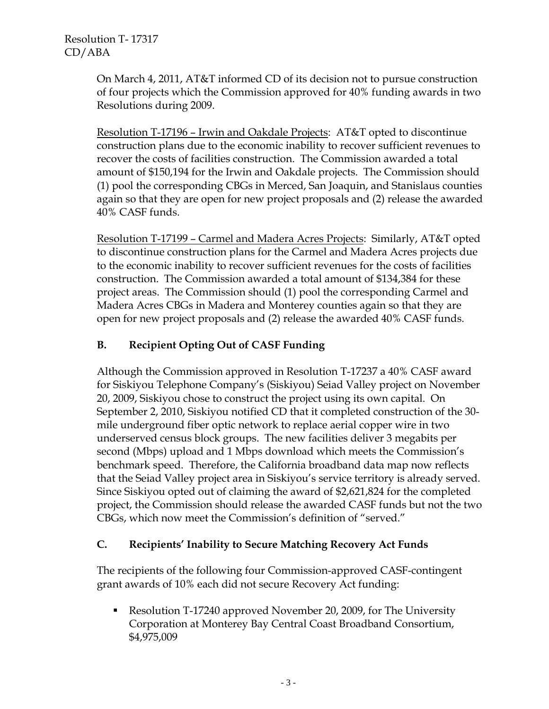On March 4, 2011, AT&T informed CD of its decision not to pursue construction of four projects which the Commission approved for 40% funding awards in two Resolutions during 2009.

Resolution T-17196 – Irwin and Oakdale Projects: AT&T opted to discontinue construction plans due to the economic inability to recover sufficient revenues to recover the costs of facilities construction. The Commission awarded a total amount of \$150,194 for the Irwin and Oakdale projects. The Commission should (1) pool the corresponding CBGs in Merced, San Joaquin, and Stanislaus counties again so that they are open for new project proposals and (2) release the awarded 40% CASF funds.

Resolution T-17199 – Carmel and Madera Acres Projects: Similarly, AT&T opted to discontinue construction plans for the Carmel and Madera Acres projects due to the economic inability to recover sufficient revenues for the costs of facilities construction. The Commission awarded a total amount of \$134,384 for these project areas. The Commission should (1) pool the corresponding Carmel and Madera Acres CBGs in Madera and Monterey counties again so that they are open for new project proposals and (2) release the awarded 40% CASF funds.

## **B. Recipient Opting Out of CASF Funding**

Although the Commission approved in Resolution T-17237 a 40% CASF award for Siskiyou Telephone Company's (Siskiyou) Seiad Valley project on November 20, 2009, Siskiyou chose to construct the project using its own capital. On September 2, 2010, Siskiyou notified CD that it completed construction of the 30 mile underground fiber optic network to replace aerial copper wire in two underserved census block groups. The new facilities deliver 3 megabits per second (Mbps) upload and 1 Mbps download which meets the Commission's benchmark speed. Therefore, the California broadband data map now reflects that the Seiad Valley project area in Siskiyou's service territory is already served. Since Siskiyou opted out of claiming the award of \$2,621,824 for the completed project, the Commission should release the awarded CASF funds but not the two CBGs, which now meet the Commission's definition of "served."

## **C. Recipients' Inability to Secure Matching Recovery Act Funds**

The recipients of the following four Commission-approved CASF-contingent grant awards of 10% each did not secure Recovery Act funding:

 Resolution T-17240 approved November 20, 2009, for The University Corporation at Monterey Bay Central Coast Broadband Consortium, \$4,975,009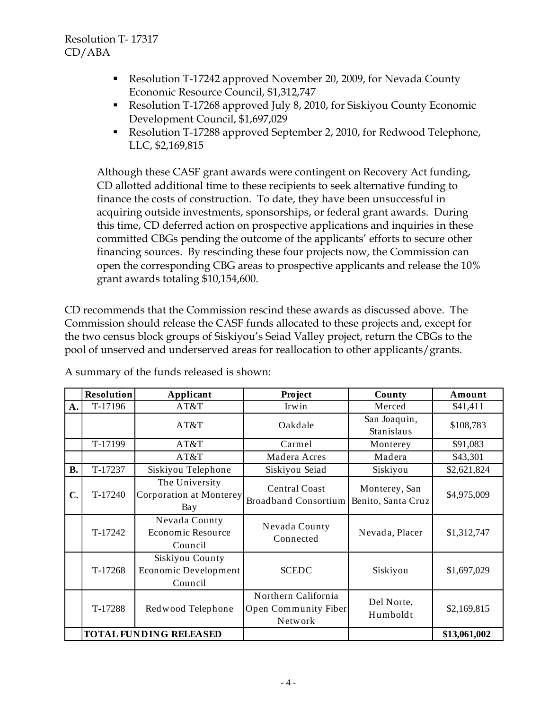- Resolution T-17242 approved November 20, 2009, for Nevada County Economic Resource Council, \$1,312,747
- Resolution T-17268 approved July 8, 2010, for Siskiyou County Economic Development Council, \$1,697,029
- Resolution T-17288 approved September 2, 2010, for Redwood Telephone, LLC, \$2,169,815

Although these CASF grant awards were contingent on Recovery Act funding, CD allotted additional time to these recipients to seek alternative funding to finance the costs of construction. To date, they have been unsuccessful in acquiring outside investments, sponsorships, or federal grant awards. During this time, CD deferred action on prospective applications and inquiries in these committed CBGs pending the outcome of the applicants' efforts to secure other financing sources. By rescinding these four projects now, the Commission can open the corresponding CBG areas to prospective applicants and release the 10% grant awards totaling \$10,154,600.

CD recommends that the Commission rescind these awards as discussed above. The Commission should release the CASF funds allocated to these projects and, except for the two census block groups of Siskiyou's Seiad Valley project, return the CBGs to the pool of unserved and underserved areas for reallocation to other applicants/grants.

|                | <b>Resolution</b> | Applicant                                          | Project                                                | County                              | Amount       |
|----------------|-------------------|----------------------------------------------------|--------------------------------------------------------|-------------------------------------|--------------|
| A.             | T-17196           | AT&T                                               | Irwin                                                  | Merced                              | \$41,411     |
|                |                   | AT&T                                               | Oakdale                                                | San Joaquin,<br><b>Stanislaus</b>   | \$108,783    |
|                | T-17199           | AT&T                                               | Carmel                                                 | Monterey                            | \$91,083     |
|                |                   | AT&T                                               | Madera Acres                                           | Madera                              | \$43,301     |
| <b>B.</b>      | T-17237           | Siskiyou Telephone                                 | Siskiyou Seiad                                         | Siskiyou                            | \$2,621,824  |
| $\mathbf{C}$ . | T-17240           | The University<br>Corporation at Monterey<br>Bay   | <b>Central Coast</b><br><b>Broadband Consortium</b>    | Monterey, San<br>Benito, Santa Cruz | \$4,975,009  |
|                | T-17242           | Nevada County<br>Economic Resource<br>Council      | Nevada County<br>Connected                             | Nevada, Placer                      | \$1,312,747  |
|                | T-17268           | Siskiyou County<br>Economic Development<br>Council | <b>SCEDC</b>                                           | Siskiyou                            | \$1,697,029  |
|                | T-17288           | Redwood Telephone                                  | Northern California<br>Open Community Fiber<br>Network | Del Norte,<br>Humboldt              | \$2,169,815  |
|                |                   | <b>TOTAL FUNDING RELEASED</b>                      |                                                        |                                     | \$13,061,002 |

A summary of the funds released is shown: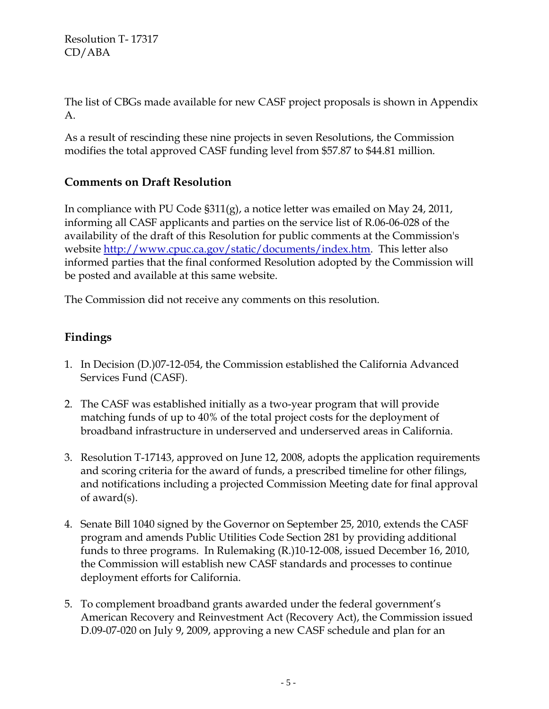The list of CBGs made available for new CASF project proposals is shown in Appendix A.

As a result of rescinding these nine projects in seven Resolutions, the Commission modifies the total approved CASF funding level from \$57.87 to \$44.81 million.

# **Comments on Draft Resolution**

In compliance with PU Code §311(g), a notice letter was emailed on May 24, 2011, informing all CASF applicants and parties on the service list of R.06-06-028 of the availability of the draft of this Resolution for public comments at the Commission's website http://www.cpuc.ca.gov/static/documents/index.htm. This letter also informed parties that the final conformed Resolution adopted by the Commission will be posted and available at this same website.

The Commission did not receive any comments on this resolution.

# **Findings**

- 1. In Decision (D.)07-12-054, the Commission established the California Advanced Services Fund (CASF).
- 2. The CASF was established initially as a two-year program that will provide matching funds of up to 40% of the total project costs for the deployment of broadband infrastructure in underserved and underserved areas in California.
- 3. Resolution T-17143, approved on June 12, 2008, adopts the application requirements and scoring criteria for the award of funds, a prescribed timeline for other filings, and notifications including a projected Commission Meeting date for final approval of award(s).
- 4. Senate Bill 1040 signed by the Governor on September 25, 2010, extends the CASF program and amends Public Utilities Code Section 281 by providing additional funds to three programs. In Rulemaking (R.)10-12-008, issued December 16, 2010, the Commission will establish new CASF standards and processes to continue deployment efforts for California.
- 5. To complement broadband grants awarded under the federal government's American Recovery and Reinvestment Act (Recovery Act), the Commission issued D.09-07-020 on July 9, 2009, approving a new CASF schedule and plan for an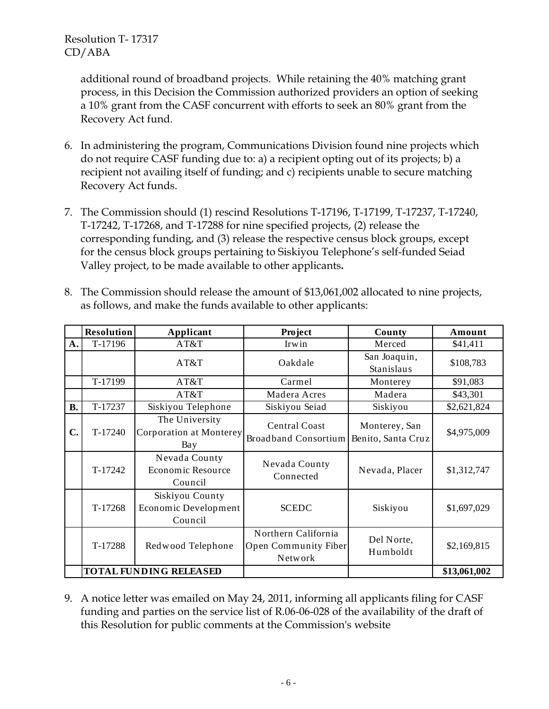> additional round of broadband projects. While retaining the 40% matching grant process, in this Decision the Commission authorized providers an option of seeking a 10% grant from the CASF concurrent with efforts to seek an 80% grant from the Recovery Act fund.

- 6. In administering the program, Communications Division found nine projects which do not require CASF funding due to: a) a recipient opting out of its projects; b) a recipient not availing itself of funding; and c) recipients unable to secure matching Recovery Act funds.
- 7. The Commission should (1) rescind Resolutions T-17196, T-17199, T-17237, T-17240, T-17242, T-17268, and T-17288 for nine specified projects, (2) release the corresponding funding, and (3) release the respective census block groups, except for the census block groups pertaining to Siskiyou Telephone's self-funded Seiad Valley project, to be made available to other applicants**.**
- 8. The Commission should release the amount of \$13,061,002 allocated to nine projects, as follows, and make the funds available to other applicants:

|                               | <b>Resolution</b> | Applicant                                          | <b>Project</b>                                         | County                              | Amount       |
|-------------------------------|-------------------|----------------------------------------------------|--------------------------------------------------------|-------------------------------------|--------------|
| A.                            | T-17196           | AT&T                                               | Irwin                                                  | Merced                              | \$41,411     |
|                               |                   | AT&T                                               | Oakdale                                                | San Joaquin,<br><b>Stanislaus</b>   | \$108,783    |
|                               | T-17199           | AT&T                                               | Carmel                                                 | Monterey                            | \$91,083     |
|                               |                   | AT&T                                               | Madera Acres                                           | Madera                              | \$43,301     |
| <b>B.</b>                     | T-17237           | Siskiyou Telephone                                 | Siskiyou Seiad                                         | Siskiyou                            | \$2,621,824  |
| C.                            | T-17240           | The University<br>Corporation at Monterey<br>Bay   | <b>Central Coast</b><br>Broadband Consortium           | Monterey, San<br>Benito, Santa Cruz | \$4,975,009  |
|                               | T-17242           | Nevada County<br>Economic Resource<br>Council      | Nevada County<br>Connected                             | Nevada, Placer                      | \$1,312,747  |
|                               | T-17268           | Siskiyou County<br>Economic Development<br>Council | <b>SCEDC</b>                                           | Siskiyou                            | \$1,697,029  |
|                               | T-17288           | Redwood Telephone                                  | Northern California<br>Open Community Fiber<br>Network | Del Norte,<br>Humboldt              | \$2,169,815  |
| <b>TOTAL FUNDING RELEASED</b> |                   |                                                    |                                                        |                                     | \$13,061,002 |

9. A notice letter was emailed on May 24, 2011, informing all applicants filing for CASF funding and parties on the service list of R.06-06-028 of the availability of the draft of this Resolution for public comments at the Commission's website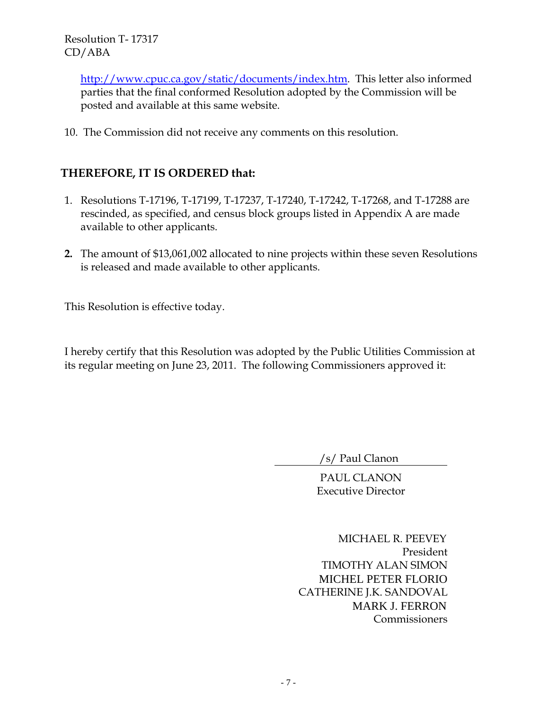> http://www.cpuc.ca.gov/static/documents/index.htm. This letter also informed parties that the final conformed Resolution adopted by the Commission will be posted and available at this same website.

10. The Commission did not receive any comments on this resolution.

# **THEREFORE, IT IS ORDERED that:**

- 1. Resolutions T-17196, T-17199, T-17237, T-17240, T-17242, T-17268, and T-17288 are rescinded, as specified, and census block groups listed in Appendix A are made available to other applicants.
- **2.** The amount of \$13,061,002 allocated to nine projects within these seven Resolutions is released and made available to other applicants.

This Resolution is effective today.

I hereby certify that this Resolution was adopted by the Public Utilities Commission at its regular meeting on June 23, 2011. The following Commissioners approved it:

/s/ Paul Clanon

PAUL CLANON Executive Director

 MICHAEL R. PEEVEY President TIMOTHY ALAN SIMON MICHEL PETER FLORIO CATHERINE J.K. SANDOVAL MARK J. FERRON Commissioners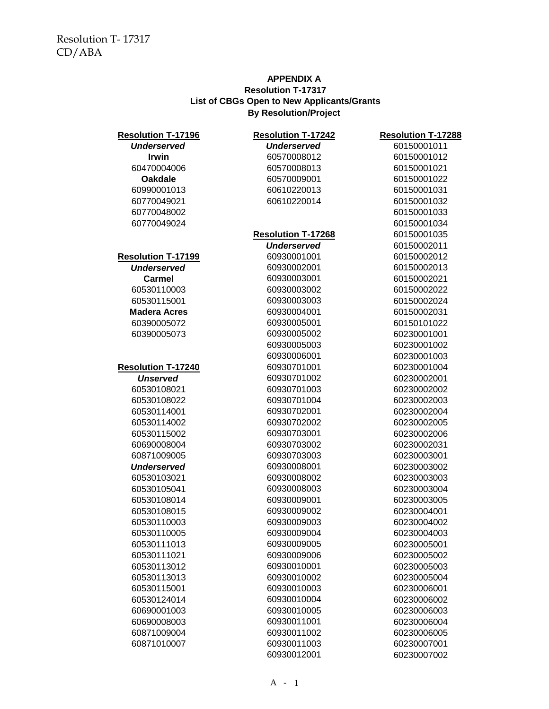#### **APPENDIX A By Resolution/Project Resolution T-17317 List of CBGs Open to New Applicants/Grants**

| <b>Resolution T-17196</b> | <b>Resolution T-17242</b> | <b>Resolution T-17288</b> |  |
|---------------------------|---------------------------|---------------------------|--|
| <b>Underserved</b>        | <b>Underserved</b>        | 60150001011               |  |
| <b>Irwin</b>              | 60570008012               | 60150001012               |  |
| 60470004006               | 60570008013               | 60150001021               |  |
| <b>Oakdale</b>            | 60570009001               | 60150001022               |  |
| 60990001013               | 60610220013               | 60150001031               |  |
| 60770049021               | 60610220014               | 60150001032               |  |
| 60770048002               |                           | 60150001033               |  |
| 60770049024               |                           | 60150001034               |  |
|                           | <b>Resolution T-17268</b> | 60150001035               |  |
|                           | <b>Underserved</b>        | 60150002011               |  |
| <b>Resolution T-17199</b> | 60930001001               | 60150002012               |  |
| <b>Underserved</b>        | 60930002001               | 60150002013               |  |
| <b>Carmel</b>             | 60930003001               | 60150002021               |  |
| 60530110003               | 60930003002               | 60150002022               |  |
| 60530115001               | 60930003003               | 60150002024               |  |
| <b>Madera Acres</b>       | 60930004001               | 60150002031               |  |
| 60390005072               | 60930005001               | 60150101022               |  |
| 60390005073               | 60930005002               | 60230001001               |  |
|                           | 60930005003               | 60230001002               |  |
|                           | 60930006001               | 60230001003               |  |
| <b>Resolution T-17240</b> | 60930701001               | 60230001004               |  |
| <b>Unserved</b>           | 60930701002               | 60230002001               |  |
| 60530108021               | 60930701003               | 60230002002               |  |
| 60530108022               | 60930701004               | 60230002003               |  |
| 60530114001               | 60930702001               | 60230002004               |  |
| 60530114002               | 60930702002               | 60230002005               |  |
| 60530115002               | 60930703001               | 60230002006               |  |
| 60690008004               | 60930703002               | 60230002031               |  |
| 60871009005               | 60930703003               | 60230003001               |  |
| <b>Underserved</b>        | 60930008001               | 60230003002               |  |
| 60530103021               | 60930008002               | 60230003003               |  |
| 60530105041               | 60930008003               | 60230003004               |  |
| 60530108014               | 60930009001               | 60230003005               |  |
| 60530108015               | 60930009002               | 60230004001               |  |
| 60530110003               | 60930009003               | 60230004002               |  |
| 60530110005               | 60930009004               | 60230004003               |  |
| 60530111013               | 60930009005               | 60230005001               |  |
| 60530111021               | 60930009006               | 60230005002               |  |
| 60530113012               | 60930010001               | 60230005003               |  |
| 60530113013               | 60930010002               | 60230005004               |  |
| 60530115001               | 60930010003               | 60230006001               |  |
| 60530124014               | 60930010004               | 60230006002               |  |
| 60690001003               | 60930010005               | 60230006003               |  |
| 60690008003               | 60930011001               | 60230006004               |  |
| 60871009004               | 60930011002               | 60230006005               |  |
| 60871010007               | 60930011003               | 60230007001               |  |
|                           | 60930012001               | 60230007002               |  |